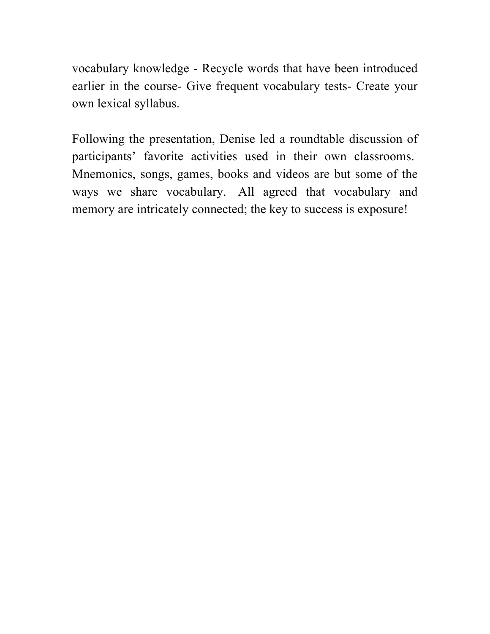vocabulary knowledge - Recycle words that have been introduced earlier in the course- Give frequent vocabulary tests- Create your own lexical syllabus.

Following the presentation, Denise led a roundtable discussion of participants' favorite activities used in their own classrooms. Mnemonics, songs, games, books and videos are but some of the ways we share vocabulary. All agreed that vocabulary and memory are intricately connected; the key to success is exposure!